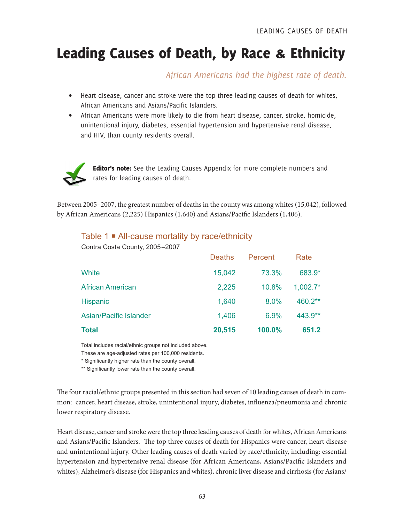# Leading Causes of Death, by Race & Ethnicity

*African Americans had the highest rate of death.*

- Heart disease, cancer and stroke were the top three leading causes of death for whites, African Americans and Asians/Pacific Islanders.
- African Americans were more likely to die from heart disease, cancer, stroke, homicide, unintentional injury, diabetes, essential hypertension and hypertensive renal disease, and HIV, than county residents overall.



Editor's note: See the Leading Causes Appendix for more complete numbers and rates for leading causes of death.

Between 2005–2007, the greatest number of deaths in the county was among whites (15,042), followed by African Americans (2,225) Hispanics (1,640) and Asians/Pacific Islanders (1,406).

#### Table 1 **■** All-cause mortality by race/ethnicity

Contra Costa County, 2005–2007

| <b>Total</b>                  | 20,515 | 100.0%  | 651.2      |
|-------------------------------|--------|---------|------------|
| <b>Asian/Pacific Islander</b> | 1,406  | 6.9%    | 443.9**    |
| <b>Hispanic</b>               | 1,640  | 8.0%    | 460.2**    |
| <b>African American</b>       | 2,225  | 10.8%   | $1.002.7*$ |
| White                         | 15,042 | 73.3%   | 683.9*     |
|                               | Deaths | Percent | Rate       |

Total includes racial/ethnic groups not included above.

These are age-adjusted rates per 100,000 residents.

\* Significantly higher rate than the county overall.

\*\* Significantly lower rate than the county overall.

The four racial/ethnic groups presented in this section had seven of 10 leading causes of death in common: cancer, heart disease, stroke, unintentional injury, diabetes, influenza/pneumonia and chronic lower respiratory disease.

Heart disease, cancer and stroke were the top three leading causes of death for whites, African Americans and Asians/Pacific Islanders. The top three causes of death for Hispanics were cancer, heart disease and unintentional injury. Other leading causes of death varied by race/ethnicity, including: essential hypertension and hypertensive renal disease (for African Americans, Asians/Pacific Islanders and whites), Alzheimer's disease (for Hispanics and whites), chronic liver disease and cirrhosis (for Asians/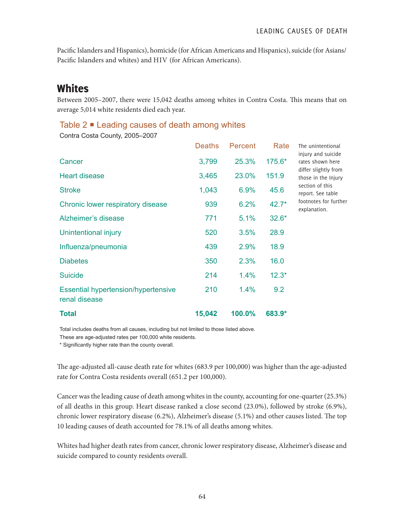Pacific Islanders and Hispanics), homicide (for African Americans and Hispanics), suicide (for Asians/ Pacific Islanders and whites) and HIV (for African Americans).

# **Whites**

Between 2005–2007, there were 15,042 deaths among whites in Contra Costa. This means that on average 5,014 white residents died each year.

### Table  $2 \blacksquare$  Leading causes of death among whites

Contra Costa County, 2005–2007

|                                                             | <b>Deaths</b> | Percent | Rate    | The unintentional                                                                                                                                                      |
|-------------------------------------------------------------|---------------|---------|---------|------------------------------------------------------------------------------------------------------------------------------------------------------------------------|
| Cancer                                                      | 3,799         | 25.3%   | 175.6*  | injury and suicide<br>rates shown here<br>differ slightly from<br>those in the Injury<br>section of this<br>report. See table<br>footnotes for further<br>explanation. |
| <b>Heart disease</b>                                        | 3,465         | 23.0%   | 151.9   |                                                                                                                                                                        |
| <b>Stroke</b>                                               | 1,043         | 6.9%    | 45.6    |                                                                                                                                                                        |
| Chronic lower respiratory disease                           | 939           | 6.2%    | $42.7*$ |                                                                                                                                                                        |
| Alzheimer's disease                                         | 771           | 5.1%    | $32.6*$ |                                                                                                                                                                        |
| Unintentional injury                                        | 520           | 3.5%    | 28.9    |                                                                                                                                                                        |
| Influenza/pneumonia                                         | 439           | 2.9%    | 18.9    |                                                                                                                                                                        |
| <b>Diabetes</b>                                             | 350           | 2.3%    | 16.0    |                                                                                                                                                                        |
| <b>Suicide</b>                                              | 214           | 1.4%    | $12.3*$ |                                                                                                                                                                        |
| <b>Essential hypertension/hypertensive</b><br>renal disease | 210           | 1.4%    | 9.2     |                                                                                                                                                                        |
| <b>Total</b>                                                | 15,042        | 100.0%  | 683.9*  |                                                                                                                                                                        |

Total includes deaths from all causes, including but not limited to those listed above.

These are age-adjusted rates per 100,000 white residents.

\* Significantly higher rate than the county overall.

The age-adjusted all-cause death rate for whites (683.9 per 100,000) was higher than the age-adjusted rate for Contra Costa residents overall (651.2 per 100,000).

Cancer was the leading cause of death among whites in the county, accounting for one-quarter (25.3%) of all deaths in this group. Heart disease ranked a close second (23.0%), followed by stroke (6.9%), chronic lower respiratory disease (6.2%), Alzheimer's disease (5.1%) and other causes listed. The top 10 leading causes of death accounted for 78.1% of all deaths among whites.

Whites had higher death rates from cancer, chronic lower respiratory disease, Alzheimer's disease and suicide compared to county residents overall.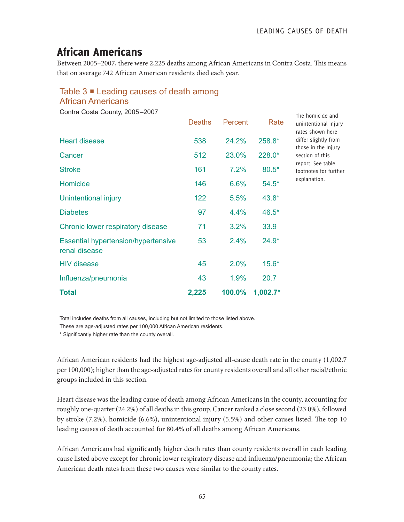The homicide and

# African Americans

Between 2005–2007, there were 2,225 deaths among African Americans in Contra Costa. This means that on average 742 African American residents died each year.

## Table 3 <sup>■</sup> Leading causes of death among

#### African Americans

Contra Costa County, 2005–2007

|                                                             | <b>Deaths</b> | Percent | Rate       | unintentional injury<br>rates shown here    |
|-------------------------------------------------------------|---------------|---------|------------|---------------------------------------------|
| <b>Heart disease</b>                                        | 538           | 24.2%   | 258.8*     | differ slightly from<br>those in the Injury |
| Cancer                                                      | 512           | 23.0%   | 228.0*     | section of this                             |
| <b>Stroke</b>                                               | 161           | 7.2%    | $80.5*$    | report. See table<br>footnotes for further  |
| Homicide                                                    | 146           | 6.6%    | $54.5*$    | explanation.                                |
| Unintentional injury                                        | 122           | 5.5%    | 43.8*      |                                             |
| <b>Diabetes</b>                                             | 97            | 4.4%    | 46.5*      |                                             |
| Chronic lower respiratory disease                           | 71            | 3.2%    | 33.9       |                                             |
| <b>Essential hypertension/hypertensive</b><br>renal disease | 53            | 2.4%    | $24.9*$    |                                             |
| <b>HIV</b> disease                                          | 45            | 2.0%    | $15.6*$    |                                             |
| Influenza/pneumonia                                         | 43            | 1.9%    | 20.7       |                                             |
| <b>Total</b>                                                | 2,225         | 100.0%  | $1,002.7*$ |                                             |

Total includes deaths from all causes, including but not limited to those listed above.

These are age-adjusted rates per 100,000 African American residents.

\* Significantly higher rate than the county overall.

African American residents had the highest age-adjusted all-cause death rate in the county (1,002.7 per 100,000); higher than the age-adjusted rates for county residents overall and all other racial/ethnic groups included in this section.

Heart disease was the leading cause of death among African Americans in the county, accounting for roughly one-quarter (24.2%) of all deaths in this group. Cancer ranked a close second (23.0%), followed by stroke (7.2%), homicide (6.6%), unintentional injury (5.5%) and other causes listed. The top 10 leading causes of death accounted for 80.4% of all deaths among African Americans.

African Americans had significantly higher death rates than county residents overall in each leading cause listed above except for chronic lower respiratory disease and influenza/pneumonia; the African American death rates from these two causes were similar to the county rates.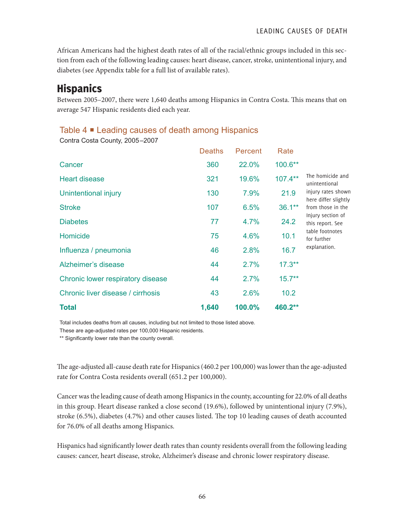LEADING CAUSES OF DEATH

African Americans had the highest death rates of all of the racial/ethnic groups included in this section from each of the following leading causes: heart disease, cancer, stroke, unintentional injury, and diabetes (see Appendix table for a full list of available rates).

# **Hispanics**

Between 2005–2007, there were 1,640 deaths among Hispanics in Contra Costa. This means that on average 547 Hispanic residents died each year.

### Table 4 **■** Leading causes of death among Hispanics

Contra Costa County, 2005–2007

|                                   | <b>Deaths</b> | Percent | Rate       |                                                                                                                                                                                                 |
|-----------------------------------|---------------|---------|------------|-------------------------------------------------------------------------------------------------------------------------------------------------------------------------------------------------|
| Cancer                            | 360           | 22.0%   | 100.6**    | The homicide and<br>unintentional<br>injury rates shown<br>here differ slightly<br>from those in the<br>Injury section of<br>this report. See<br>table footnotes<br>for further<br>explanation. |
| <b>Heart disease</b>              | 321           | 19.6%   | $107.4***$ |                                                                                                                                                                                                 |
| Unintentional injury              | 130           | 7.9%    | 21.9       |                                                                                                                                                                                                 |
| <b>Stroke</b>                     | 107           | 6.5%    | $36.1**$   |                                                                                                                                                                                                 |
| <b>Diabetes</b>                   | 77            | 4.7%    | 24.2       |                                                                                                                                                                                                 |
| Homicide                          | 75            | 4.6%    | 10.1       |                                                                                                                                                                                                 |
| Influenza / pneumonia             | 46            | 2.8%    | 16.7       |                                                                                                                                                                                                 |
| Alzheimer's disease               | 44            | 2.7%    | $17.3***$  |                                                                                                                                                                                                 |
| Chronic lower respiratory disease | 44            | 2.7%    | $15.7**$   |                                                                                                                                                                                                 |
| Chronic liver disease / cirrhosis | 43            | 2.6%    | 10.2       |                                                                                                                                                                                                 |
| <b>Total</b>                      | 1,640         | 100.0%  | 460.2**    |                                                                                                                                                                                                 |

Total includes deaths from all causes, including but not limited to those listed above.

These are age-adjusted rates per 100,000 Hispanic residents.

\*\* Significantly lower rate than the county overall.

The age-adjusted all-cause death rate for Hispanics (460.2 per 100,000) was lower than the age-adjusted rate for Contra Costa residents overall (651.2 per 100,000).

Cancer was the leading cause of death among Hispanics in the county, accounting for 22.0% of all deaths in this group. Heart disease ranked a close second (19.6%), followed by unintentional injury (7.9%), stroke (6.5%), diabetes (4.7%) and other causes listed. The top 10 leading causes of death accounted for 76.0% of all deaths among Hispanics.

Hispanics had significantly lower death rates than county residents overall from the following leading causes: cancer, heart disease, stroke, Alzheimer's disease and chronic lower respiratory disease.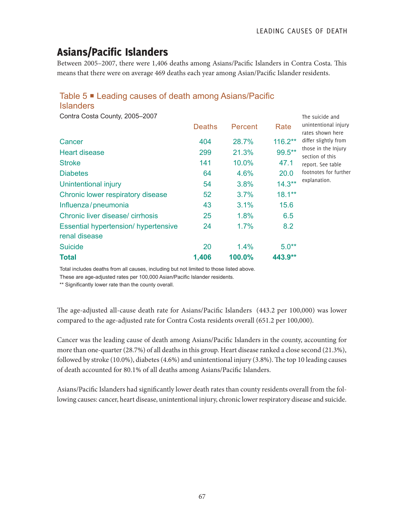The suicide and

# Asians/Pacific Islanders

Between 2005–2007, there were 1,406 deaths among Asians/Pacific Islanders in Contra Costa. This means that there were on average 469 deaths each year among Asian/Pacific Islander residents.

### Table 5 Leading causes of death among Asians/Pacific

Islanders

Contra Costa County, 2005–2007

|                                             | <b>Deaths</b> | Percent | Rate      | unintentional injury<br>rates shown here                                                                                     |
|---------------------------------------------|---------------|---------|-----------|------------------------------------------------------------------------------------------------------------------------------|
| Cancer                                      | 404           | 28.7%   | 116.2**   | differ slightly from<br>those in the Injury<br>section of this<br>report. See table<br>footnotes for further<br>explanation. |
| <b>Heart disease</b>                        | 299           | 21.3%   | 99.5**    |                                                                                                                              |
| <b>Stroke</b>                               | 141           | 10.0%   | 47.1      |                                                                                                                              |
| <b>Diabetes</b>                             | 64            | 4.6%    | 20.0      |                                                                                                                              |
| Unintentional injury                        | 54            | 3.8%    | $14.3**$  |                                                                                                                              |
| Chronic lower respiratory disease           | 52            | 3.7%    | $18.1***$ |                                                                                                                              |
| Influenza/pneumonia                         | 43            | 3.1%    | 15.6      |                                                                                                                              |
| Chronic liver disease/cirrhosis             | 25            | 1.8%    | 6.5       |                                                                                                                              |
| <b>Essential hypertension/ hypertensive</b> | 24            | 1.7%    | 8.2       |                                                                                                                              |
| renal disease                               |               |         |           |                                                                                                                              |
| <b>Suicide</b>                              | 20            | 1.4%    | $5.0**$   |                                                                                                                              |
| <b>Total</b>                                | 1,406         | 100.0%  | 443.9**   |                                                                                                                              |

Total includes deaths from all causes, including but not limited to those listed above.

These are age-adjusted rates per 100,000 Asian/Pacific Islander residents.

\*\* Significantly lower rate than the county overall.

The age-adjusted all-cause death rate for Asians/Pacific Islanders (443.2 per 100,000) was lower compared to the age-adjusted rate for Contra Costa residents overall (651.2 per 100,000).

Cancer was the leading cause of death among Asians/Pacific Islanders in the county, accounting for more than one-quarter (28.7%) of all deaths in this group. Heart disease ranked a close second (21.3%), followed by stroke (10.0%), diabetes (4.6%) and unintentional injury (3.8%). The top 10 leading causes of death accounted for 80.1% of all deaths among Asians/Pacific Islanders.

Asians/Pacific Islanders had significantly lower death rates than county residents overall from the following causes: cancer, heart disease, unintentional injury, chronic lower respiratory disease and suicide.